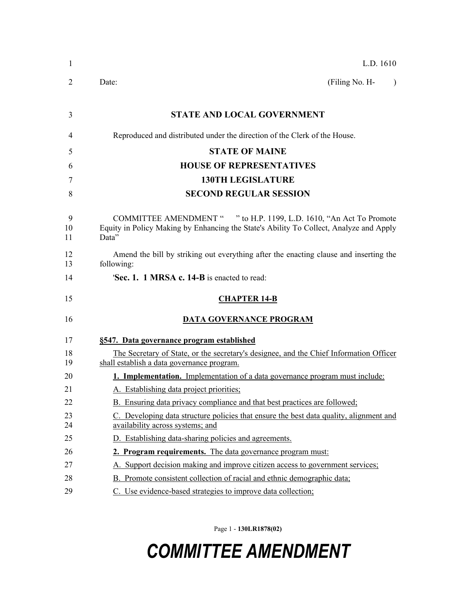| 1             | L.D. 1610                                                                                                                                                              |  |  |  |
|---------------|------------------------------------------------------------------------------------------------------------------------------------------------------------------------|--|--|--|
| 2             | (Filing No. H-<br>Date:<br>$\lambda$                                                                                                                                   |  |  |  |
| 3             | <b>STATE AND LOCAL GOVERNMENT</b>                                                                                                                                      |  |  |  |
| 4             | Reproduced and distributed under the direction of the Clerk of the House.                                                                                              |  |  |  |
| 5             | <b>STATE OF MAINE</b>                                                                                                                                                  |  |  |  |
| 6             | <b>HOUSE OF REPRESENTATIVES</b>                                                                                                                                        |  |  |  |
| 7             | <b>130TH LEGISLATURE</b>                                                                                                                                               |  |  |  |
| 8             | <b>SECOND REGULAR SESSION</b>                                                                                                                                          |  |  |  |
| 9<br>10<br>11 | COMMITTEE AMENDMENT " " to H.P. 1199, L.D. 1610, "An Act To Promote<br>Equity in Policy Making by Enhancing the State's Ability To Collect, Analyze and Apply<br>Data" |  |  |  |
| 12<br>13      | Amend the bill by striking out everything after the enacting clause and inserting the<br>following:                                                                    |  |  |  |
| 14            | 'Sec. 1. 1 MRSA c. 14-B is enacted to read:                                                                                                                            |  |  |  |
| 15            | <b>CHAPTER 14-B</b>                                                                                                                                                    |  |  |  |
| 16            | DATA GOVERNANCE PROGRAM                                                                                                                                                |  |  |  |
| 17            | §547. Data governance program established                                                                                                                              |  |  |  |
| 18<br>19      | The Secretary of State, or the secretary's designee, and the Chief Information Officer<br>shall establish a data governance program.                                   |  |  |  |
| 20            | 1. Implementation. Implementation of a data governance program must include:                                                                                           |  |  |  |
| 21            | A. Establishing data project priorities;                                                                                                                               |  |  |  |
| 22            | B. Ensuring data privacy compliance and that best practices are followed;                                                                                              |  |  |  |
| 23<br>24      | C. Developing data structure policies that ensure the best data quality, alignment and<br>availability across systems; and                                             |  |  |  |
| 25            | D. Establishing data-sharing policies and agreements.                                                                                                                  |  |  |  |
| 26            | 2. Program requirements. The data governance program must:                                                                                                             |  |  |  |
| 27            | A. Support decision making and improve citizen access to government services;                                                                                          |  |  |  |
| 28            | B. Promote consistent collection of racial and ethnic demographic data;                                                                                                |  |  |  |
| 29            | C. Use evidence-based strategies to improve data collection;                                                                                                           |  |  |  |

Page 1 - **130LR1878(02)**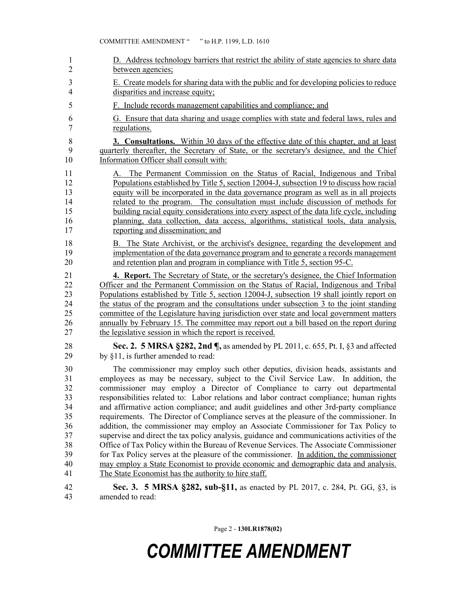| 1                                      | D. Address technology barriers that restrict the ability of state agencies to share data                                                                                                                                                                                                                                                                                                                                                                                                                                                                                        |
|----------------------------------------|---------------------------------------------------------------------------------------------------------------------------------------------------------------------------------------------------------------------------------------------------------------------------------------------------------------------------------------------------------------------------------------------------------------------------------------------------------------------------------------------------------------------------------------------------------------------------------|
| $\overline{2}$                         | between agencies;                                                                                                                                                                                                                                                                                                                                                                                                                                                                                                                                                               |
| 3                                      | E. Create models for sharing data with the public and for developing policies to reduce                                                                                                                                                                                                                                                                                                                                                                                                                                                                                         |
| $\overline{4}$                         | disparities and increase equity;                                                                                                                                                                                                                                                                                                                                                                                                                                                                                                                                                |
| 5                                      | F. Include records management capabilities and compliance; and                                                                                                                                                                                                                                                                                                                                                                                                                                                                                                                  |
| 6                                      | G. Ensure that data sharing and usage complies with state and federal laws, rules and                                                                                                                                                                                                                                                                                                                                                                                                                                                                                           |
| 7                                      | regulations.                                                                                                                                                                                                                                                                                                                                                                                                                                                                                                                                                                    |
| 8                                      | <b>3. Consultations.</b> Within 30 days of the effective date of this chapter, and at least                                                                                                                                                                                                                                                                                                                                                                                                                                                                                     |
| 9                                      | quarterly thereafter, the Secretary of State, or the secretary's designee, and the Chief                                                                                                                                                                                                                                                                                                                                                                                                                                                                                        |
| 10                                     | Information Officer shall consult with:                                                                                                                                                                                                                                                                                                                                                                                                                                                                                                                                         |
| 11<br>12<br>13<br>14<br>15<br>16<br>17 | The Permanent Commission on the Status of Racial, Indigenous and Tribal<br>А.<br>Populations established by Title 5, section 12004-J, subsection 19 to discuss how racial<br>equity will be incorporated in the data governance program as well as in all projects<br>related to the program. The consultation must include discussion of methods for<br>building racial equity considerations into every aspect of the data life cycle, including<br>planning, data collection, data access, algorithms, statistical tools, data analysis,<br>reporting and dissemination; and |
| 18                                     | B. The State Archivist, or the archivist's designee, regarding the development and                                                                                                                                                                                                                                                                                                                                                                                                                                                                                              |
| 19                                     | implementation of the data governance program and to generate a records management                                                                                                                                                                                                                                                                                                                                                                                                                                                                                              |
| 20                                     | and retention plan and program in compliance with Title 5, section 95-C.                                                                                                                                                                                                                                                                                                                                                                                                                                                                                                        |
| 21                                     | <b>4. Report.</b> The Secretary of State, or the secretary's designee, the Chief Information                                                                                                                                                                                                                                                                                                                                                                                                                                                                                    |
| 22                                     | Officer and the Permanent Commission on the Status of Racial, Indigenous and Tribal                                                                                                                                                                                                                                                                                                                                                                                                                                                                                             |
| 23                                     | Populations established by Title 5, section 12004-J, subsection 19 shall jointly report on                                                                                                                                                                                                                                                                                                                                                                                                                                                                                      |
| 24                                     | the status of the program and the consultations under subsection 3 to the joint standing                                                                                                                                                                                                                                                                                                                                                                                                                                                                                        |
| 25                                     | committee of the Legislature having jurisdiction over state and local government matters                                                                                                                                                                                                                                                                                                                                                                                                                                                                                        |
| 26                                     | annually by February 15. The committee may report out a bill based on the report during                                                                                                                                                                                                                                                                                                                                                                                                                                                                                         |
| 27                                     | the legislative session in which the report is received.                                                                                                                                                                                                                                                                                                                                                                                                                                                                                                                        |
| 28                                     | Sec. 2. 5 MRSA §282, 2nd ¶, as amended by PL 2011, c. 655, Pt. I, §3 and affected                                                                                                                                                                                                                                                                                                                                                                                                                                                                                               |
| 29                                     | by $§11$ , is further amended to read:                                                                                                                                                                                                                                                                                                                                                                                                                                                                                                                                          |
| 30                                     | The commissioner may employ such other deputies, division heads, assistants and                                                                                                                                                                                                                                                                                                                                                                                                                                                                                                 |
| 31                                     | employees as may be necessary, subject to the Civil Service Law. In addition, the                                                                                                                                                                                                                                                                                                                                                                                                                                                                                               |
| 32                                     | commissioner may employ a Director of Compliance to carry out departmental                                                                                                                                                                                                                                                                                                                                                                                                                                                                                                      |
| 33                                     | responsibilities related to: Labor relations and labor contract compliance; human rights                                                                                                                                                                                                                                                                                                                                                                                                                                                                                        |
| 34                                     | and affirmative action compliance; and audit guidelines and other 3rd-party compliance                                                                                                                                                                                                                                                                                                                                                                                                                                                                                          |
| 35                                     | requirements. The Director of Compliance serves at the pleasure of the commissioner. In                                                                                                                                                                                                                                                                                                                                                                                                                                                                                         |
| 36                                     | addition, the commissioner may employ an Associate Commissioner for Tax Policy to                                                                                                                                                                                                                                                                                                                                                                                                                                                                                               |
| 37                                     | supervise and direct the tax policy analysis, guidance and communications activities of the                                                                                                                                                                                                                                                                                                                                                                                                                                                                                     |
| 38                                     | Office of Tax Policy within the Bureau of Revenue Services. The Associate Commissioner                                                                                                                                                                                                                                                                                                                                                                                                                                                                                          |
| 39                                     | for Tax Policy serves at the pleasure of the commissioner. In addition, the commissioner                                                                                                                                                                                                                                                                                                                                                                                                                                                                                        |
| 40                                     | may employ a State Economist to provide economic and demographic data and analysis.                                                                                                                                                                                                                                                                                                                                                                                                                                                                                             |
| 41                                     | The State Economist has the authority to hire staff.                                                                                                                                                                                                                                                                                                                                                                                                                                                                                                                            |
| 42                                     | <b>Sec. 3. 5 MRSA §282, sub-§11, as enacted by PL 2017, c. 284, Pt. GG, §3, is</b>                                                                                                                                                                                                                                                                                                                                                                                                                                                                                              |
| 43                                     | amended to read:                                                                                                                                                                                                                                                                                                                                                                                                                                                                                                                                                                |

Page 2 - **130LR1878(02)**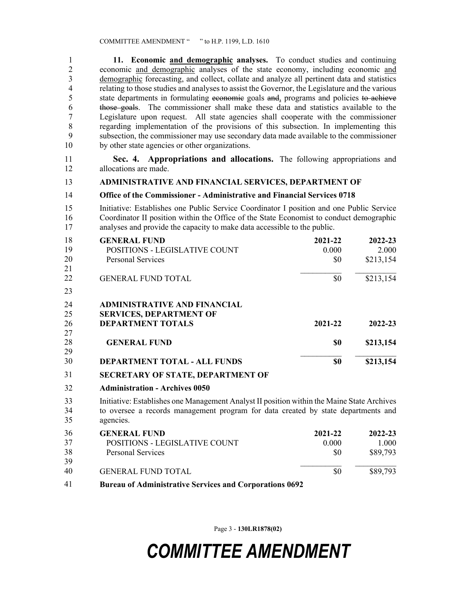| 1<br>$\overline{2}$<br>$\mathfrak{Z}$<br>$\overline{4}$<br>5<br>6<br>$\tau$<br>$\,8\,$<br>9<br>10 | 11. Economic and demographic analyses. To conduct studies and continuing<br>economic and demographic analyses of the state economy, including economic and<br>demographic forecasting, and collect, collate and analyze all pertinent data and statistics<br>relating to those studies and analyses to assist the Governor, the Legislature and the various<br>state departments in formulating economic goals and, programs and policies to achieve<br>those goals. The commissioner shall make these data and statistics available to the<br>Legislature upon request. All state agencies shall cooperate with the commissioner<br>regarding implementation of the provisions of this subsection. In implementing this<br>subsection, the commissioner may use secondary data made available to the commissioner<br>by other state agencies or other organizations. |                         |                               |
|---------------------------------------------------------------------------------------------------|-----------------------------------------------------------------------------------------------------------------------------------------------------------------------------------------------------------------------------------------------------------------------------------------------------------------------------------------------------------------------------------------------------------------------------------------------------------------------------------------------------------------------------------------------------------------------------------------------------------------------------------------------------------------------------------------------------------------------------------------------------------------------------------------------------------------------------------------------------------------------|-------------------------|-------------------------------|
| 11<br>12                                                                                          | Sec. 4. Appropriations and allocations. The following appropriations and<br>allocations are made.                                                                                                                                                                                                                                                                                                                                                                                                                                                                                                                                                                                                                                                                                                                                                                     |                         |                               |
| 13                                                                                                | ADMINISTRATIVE AND FINANCIAL SERVICES, DEPARTMENT OF                                                                                                                                                                                                                                                                                                                                                                                                                                                                                                                                                                                                                                                                                                                                                                                                                  |                         |                               |
| 14                                                                                                | <b>Office of the Commissioner - Administrative and Financial Services 0718</b>                                                                                                                                                                                                                                                                                                                                                                                                                                                                                                                                                                                                                                                                                                                                                                                        |                         |                               |
| 15<br>16<br>17                                                                                    | Initiative: Establishes one Public Service Coordinator I position and one Public Service<br>Coordinator II position within the Office of the State Economist to conduct demographic<br>analyses and provide the capacity to make data accessible to the public.                                                                                                                                                                                                                                                                                                                                                                                                                                                                                                                                                                                                       |                         |                               |
| 18<br>19<br>20<br>21                                                                              | <b>GENERAL FUND</b><br>POSITIONS - LEGISLATIVE COUNT<br><b>Personal Services</b>                                                                                                                                                                                                                                                                                                                                                                                                                                                                                                                                                                                                                                                                                                                                                                                      | 2021-22<br>0.000<br>\$0 | 2022-23<br>2.000<br>\$213,154 |
| 22                                                                                                | <b>GENERAL FUND TOTAL</b>                                                                                                                                                                                                                                                                                                                                                                                                                                                                                                                                                                                                                                                                                                                                                                                                                                             | \$0                     | \$213,154                     |
| 23                                                                                                |                                                                                                                                                                                                                                                                                                                                                                                                                                                                                                                                                                                                                                                                                                                                                                                                                                                                       |                         |                               |
| 24<br>25                                                                                          | <b>ADMINISTRATIVE AND FINANCIAL</b><br><b>SERVICES, DEPARTMENT OF</b>                                                                                                                                                                                                                                                                                                                                                                                                                                                                                                                                                                                                                                                                                                                                                                                                 |                         |                               |
| 26<br>27                                                                                          | <b>DEPARTMENT TOTALS</b>                                                                                                                                                                                                                                                                                                                                                                                                                                                                                                                                                                                                                                                                                                                                                                                                                                              | 2021-22                 | 2022-23                       |
| 28<br>29                                                                                          | <b>GENERAL FUND</b>                                                                                                                                                                                                                                                                                                                                                                                                                                                                                                                                                                                                                                                                                                                                                                                                                                                   | \$0                     | \$213,154                     |
| 30                                                                                                | <b>DEPARTMENT TOTAL - ALL FUNDS</b>                                                                                                                                                                                                                                                                                                                                                                                                                                                                                                                                                                                                                                                                                                                                                                                                                                   | \$0                     | \$213,154                     |
| 31                                                                                                | <b>SECRETARY OF STATE, DEPARTMENT OF</b>                                                                                                                                                                                                                                                                                                                                                                                                                                                                                                                                                                                                                                                                                                                                                                                                                              |                         |                               |
| 32                                                                                                | <b>Administration - Archives 0050</b>                                                                                                                                                                                                                                                                                                                                                                                                                                                                                                                                                                                                                                                                                                                                                                                                                                 |                         |                               |
| 33<br>34<br>35                                                                                    | Initiative: Establishes one Management Analyst II position within the Maine State Archives<br>to oversee a records management program for data created by state departments and<br>agencies.                                                                                                                                                                                                                                                                                                                                                                                                                                                                                                                                                                                                                                                                          |                         |                               |
| 36                                                                                                | <b>GENERAL FUND</b>                                                                                                                                                                                                                                                                                                                                                                                                                                                                                                                                                                                                                                                                                                                                                                                                                                                   | 2021-22                 | 2022-23                       |
| 37                                                                                                | POSITIONS - LEGISLATIVE COUNT                                                                                                                                                                                                                                                                                                                                                                                                                                                                                                                                                                                                                                                                                                                                                                                                                                         | 0.000                   | 1.000                         |
| 38<br>39                                                                                          | <b>Personal Services</b>                                                                                                                                                                                                                                                                                                                                                                                                                                                                                                                                                                                                                                                                                                                                                                                                                                              | \$0                     | \$89,793                      |
| 40                                                                                                | <b>GENERAL FUND TOTAL</b>                                                                                                                                                                                                                                                                                                                                                                                                                                                                                                                                                                                                                                                                                                                                                                                                                                             | \$0                     | \$89,793                      |

36 **Bureau of Administrative Services and Corporations 0692** 41

Page 3 - **130LR1878(02)**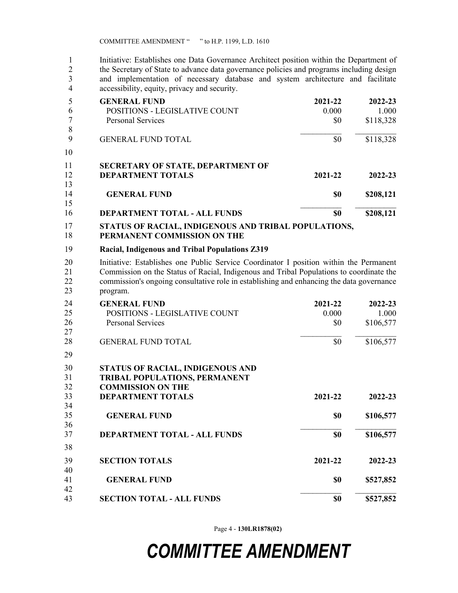1 Initiative: Establishes one Data Governance Architect position within the Department of the Secretary of State to advance data governance policies and programs including design 2 the Secretary of State to advance data governance policies and programs including design 3 and implementation of necessary database and system architecture and facilitate 4 accessibility, equity, privacy and security.

| 5  | <b>GENERAL FUND</b>                                                                                                                                                                 | 2021-22 | 2022-23   |  |
|----|-------------------------------------------------------------------------------------------------------------------------------------------------------------------------------------|---------|-----------|--|
| 6  | POSITIONS - LEGISLATIVE COUNT                                                                                                                                                       | 0.000   | 1.000     |  |
|    | <b>Personal Services</b>                                                                                                                                                            | \$0     | \$118,328 |  |
| 8  |                                                                                                                                                                                     |         |           |  |
| 9  | <b>GENERAL FUND TOTAL</b>                                                                                                                                                           | \$0     | \$118,328 |  |
| 10 |                                                                                                                                                                                     |         |           |  |
| 11 | <b>SECRETARY OF STATE, DEPARTMENT OF</b>                                                                                                                                            |         |           |  |
| 12 | <b>DEPARTMENT TOTALS</b>                                                                                                                                                            | 2021-22 | 2022-23   |  |
| 13 |                                                                                                                                                                                     |         |           |  |
| 14 | <b>GENERAL FUND</b>                                                                                                                                                                 | \$0     | \$208,121 |  |
| 15 |                                                                                                                                                                                     |         |           |  |
| 16 | <b>DEPARTMENT TOTAL - ALL FUNDS</b>                                                                                                                                                 | \$0     | \$208,121 |  |
| 17 | <b>STATUS OF RACIAL, INDIGENOUS AND TRIBAL POPULATIONS,</b>                                                                                                                         |         |           |  |
| 18 | PERMANENT COMMISSION ON THE                                                                                                                                                         |         |           |  |
| 19 | Racial, Indigenous and Tribal Populations Z319                                                                                                                                      |         |           |  |
| 20 | Initiative: Establishes one Public Service Coordinator I position within the Permanent                                                                                              |         |           |  |
| 21 | Commission on the Status of Racial, Indigenous and Tribal Populations to coordinate the<br>commission's ongoing consultative role in establishing and enhancing the data governance |         |           |  |
| 22 |                                                                                                                                                                                     |         |           |  |
| 23 | program.                                                                                                                                                                            |         |           |  |
|    |                                                                                                                                                                                     |         |           |  |

| 24 | <b>GENERAL FUND</b>                  | 2021-22 | 2022-23   |
|----|--------------------------------------|---------|-----------|
| 25 | POSITIONS - LEGISLATIVE COUNT        | 0.000   | 1.000     |
| 26 | <b>Personal Services</b>             | \$0     | \$106,577 |
| 27 |                                      |         |           |
| 28 | <b>GENERAL FUND TOTAL</b>            | \$0     | \$106,577 |
| 29 |                                      |         |           |
| 30 | STATUS OF RACIAL, INDIGENOUS AND     |         |           |
| 31 | <b>TRIBAL POPULATIONS, PERMANENT</b> |         |           |
| 32 | <b>COMMISSION ON THE</b>             |         |           |
| 33 | <b>DEPARTMENT TOTALS</b>             | 2021-22 | 2022-23   |
| 34 |                                      |         |           |
| 35 | <b>GENERAL FUND</b>                  | \$0     | \$106,577 |
| 36 |                                      |         |           |
| 37 | DEPARTMENT TOTAL - ALL FUNDS         | \$0     | \$106,577 |
| 38 |                                      |         |           |
| 39 | <b>SECTION TOTALS</b>                | 2021-22 | 2022-23   |
| 40 |                                      |         |           |
| 41 | <b>GENERAL FUND</b>                  | \$0     | \$527,852 |
| 42 |                                      |         |           |
| 43 | <b>SECTION TOTAL - ALL FUNDS</b>     | \$0     | \$527,852 |
|    |                                      |         |           |

Page 4 - **130LR1878(02)**